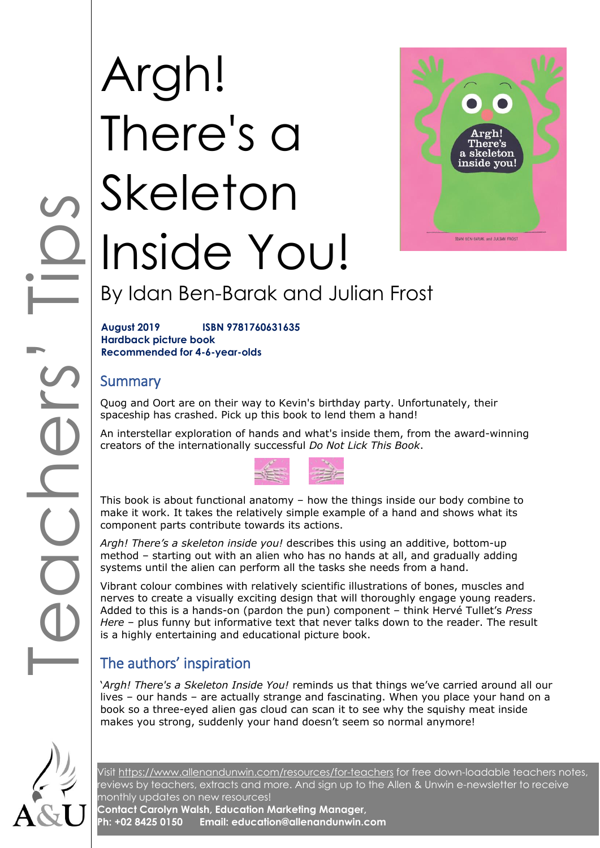# COOPS TIPS TIPS Argh! There's a Skeleton Inside You!



# By Idan Ben-Barak and Julian Frost

**August 2019 ISBN 9781760631635 Hardback picture book Recommended for 4-6-year-olds**

## **Summary**

Quog and Oort are on their way to Kevin's birthday party. Unfortunately, their spaceship has crashed. Pick up this book to lend them a hand!

An interstellar exploration of hands and what's inside them, from the award-winning creators of the internationally successful *Do Not Lick This Book*.



This book is about functional anatomy – how the things inside our body combine to make it work. It takes the relatively simple example of a hand and shows what its component parts contribute towards its actions.

*Argh! There's a skeleton inside you!* describes this using an additive, bottom-up method – starting out with an alien who has no hands at all, and gradually adding systems until the alien can perform all the tasks she needs from a hand.

Vibrant colour combines with relatively scientific illustrations of bones, muscles and nerves to create a visually exciting design that will thoroughly engage young readers. Added to this is a hands-on (pardon the pun) component – think Hervé Tullet's *Press Here* – plus funny but informative text that never talks down to the reader. The result is a highly entertaining and educational picture book.

# The authors' inspiration

'*Argh! There's a Skeleton Inside You!* reminds us that things we've carried around all our lives – our hands – are actually strange and fascinating. When you place your hand on a book so a three-eyed alien gas cloud can scan it to see why the squishy meat inside makes you strong, suddenly your hand doesn't seem so normal anymore!



Visit<https://www.allenandunwin.com/resources/for-teachers> for free down-loadable teachers notes, reviews by teachers, extracts and more. And sign up to the Allen & Unwin e-newsletter to receive monthly updates on new resources!

**Contact Carolyn Walsh, Education Marketing Manager, Ph: +02 8425 0150 Email: education@allenandunwin.com**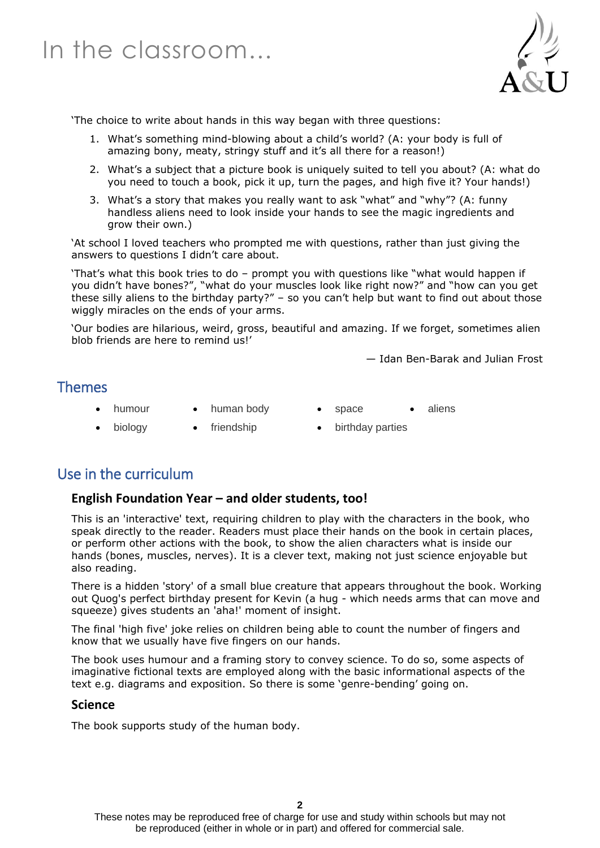

'The choice to write about hands in this way began with three questions:

- 1. What's something mind-blowing about a child's world? (A: your body is full of amazing bony, meaty, stringy stuff and it's all there for a reason!)
- 2. What's a subject that a picture book is uniquely suited to tell you about? (A: what do you need to touch a book, pick it up, turn the pages, and high five it? Your hands!)
- 3. What's a story that makes you really want to ask "what" and "why"? (A: funny handless aliens need to look inside your hands to see the magic ingredients and grow their own.)

'At school I loved teachers who prompted me with questions, rather than just giving the answers to questions I didn't care about.

'That's what this book tries to do – prompt you with questions like "what would happen if you didn't have bones?", "what do your muscles look like right now?" and "how can you get these silly aliens to the birthday party?" – so you can't help but want to find out about those wiggly miracles on the ends of your arms.

'Our bodies are hilarious, weird, gross, beautiful and amazing. If we forget, sometimes alien blob friends are here to remind us!'

— Idan Ben-Barak and Julian Frost

### Themes

- -
- humour human body space aliens
- biology friendship birthday parties

## Use in the curriculum

#### **English Foundation Year – and older students, too!**

This is an 'interactive' text, requiring children to play with the characters in the book, who speak directly to the reader. Readers must place their hands on the book in certain places, or perform other actions with the book, to show the alien characters what is inside our hands (bones, muscles, nerves). It is a clever text, making not just science enjoyable but also reading.

There is a hidden 'story' of a small blue creature that appears throughout the book. Working out Quog's perfect birthday present for Kevin (a hug - which needs arms that can move and squeeze) gives students an 'aha!' moment of insight.

The final 'high five' joke relies on children being able to count the number of fingers and know that we usually have five fingers on our hands.

The book uses humour and a framing story to convey science. To do so, some aspects of imaginative fictional texts are employed along with the basic informational aspects of the text e.g. diagrams and exposition. So there is some 'genre-bending' going on.

#### **Science**

The book supports study of the human body.

These notes may be reproduced free of charge for use and study within schools but may not be reproduced (either in whole or in part) and offered for commercial sale.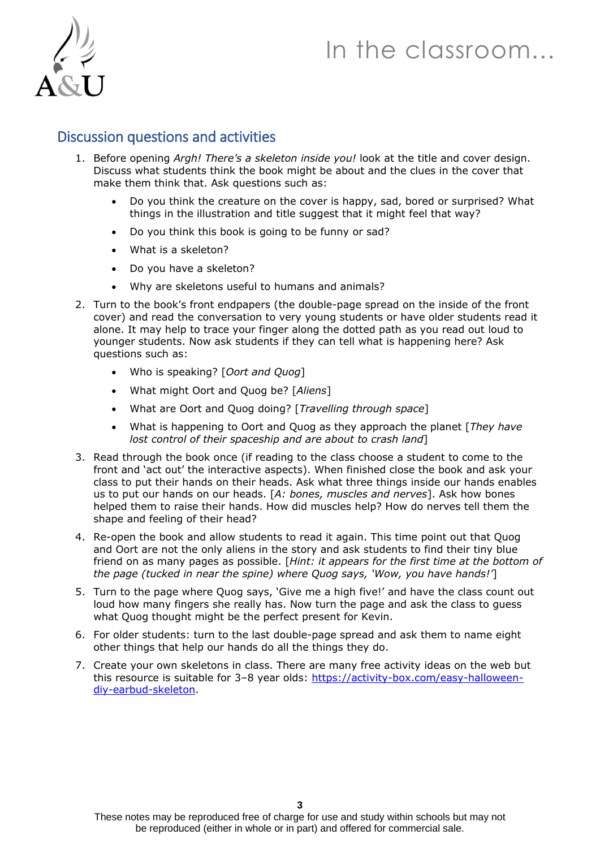# In the classroom…



## Discussion questions and activities

- 1. Before opening *Argh! There's a skeleton inside you!* look at the title and cover design. Discuss what students think the book might be about and the clues in the cover that make them think that. Ask questions such as:
	- Do you think the creature on the cover is happy, sad, bored or surprised? What things in the illustration and title suggest that it might feel that way?
	- Do you think this book is going to be funny or sad?
	- What is a skeleton?
	- Do you have a skeleton?
	- Why are skeletons useful to humans and animals?
- 2. Turn to the book's front endpapers (the double-page spread on the inside of the front cover) and read the conversation to very young students or have older students read it alone. It may help to trace your finger along the dotted path as you read out loud to younger students. Now ask students if they can tell what is happening here? Ask questions such as:
	- Who is speaking? [*Oort and Quog*]
	- What might Oort and Quog be? [*Aliens*]
	- What are Oort and Quog doing? [*Travelling through space*]
	- What is happening to Oort and Quog as they approach the planet [*They have lost control of their spaceship and are about to crash land*]
- 3. Read through the book once (if reading to the class choose a student to come to the front and 'act out' the interactive aspects). When finished close the book and ask your class to put their hands on their heads. Ask what three things inside our hands enables us to put our hands on our heads. [*A: bones, muscles and nerves*]. Ask how bones helped them to raise their hands. How did muscles help? How do nerves tell them the shape and feeling of their head?
- 4. Re-open the book and allow students to read it again. This time point out that Quog and Oort are not the only aliens in the story and ask students to find their tiny blue friend on as many pages as possible. [*Hint: it appears for the first time at the bottom of the page (tucked in near the spine) where Quog says, 'Wow, you have hands!'*]
- 5. Turn to the page where Quog says, 'Give me a high five!' and have the class count out loud how many fingers she really has. Now turn the page and ask the class to guess what Quog thought might be the perfect present for Kevin.
- 6. For older students: turn to the last double-page spread and ask them to name eight other things that help our hands do all the things they do.
- 7. Create your own skeletons in class. There are many free activity ideas on the web but this resource is suitable for 3–8 year olds: [https://activity-box.com/easy-halloween](https://activity-box.com/easy-halloween-diy-earbud-skeleton)[diy-earbud-skeleton.](https://activity-box.com/easy-halloween-diy-earbud-skeleton)